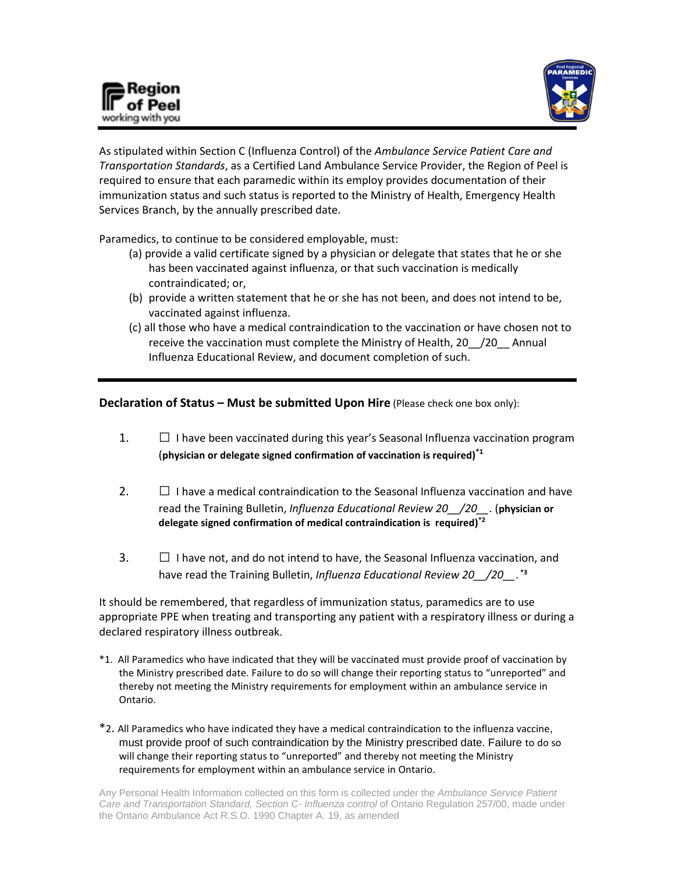



As stipulated within Section C (Influenza Control) of the *Ambulance Service Patient Care and Transportation Standards*, as a Certified Land Ambulance Service Provider, the Region of Peel is required to ensure that each paramedic within its employ provides documentation of their immunization status and such status is reported to the Ministry of Health, Emergency Health Services Branch, by the annually prescribed date.

Paramedics, to continue to be considered employable, must:

- (a) provide a valid certificate signed by a physician or delegate that states that he or she has been vaccinated against influenza, or that such vaccination is medically contraindicated; or,
- (b) provide a written statement that he or she has not been, and does not intend to be, vaccinated against influenza.
- (c) all those who have a medical contraindication to the vaccination or have chosen not to receive the vaccination must complete the Ministry of Health, 20\_\_/20\_\_ Annual Influenza Educational Review, and document completion of such.

**Declaration of Status – Must be submitted Upon Hire** (Please check one box only):

- 1.  $\Box$  I have been vaccinated during this year's Seasonal Influenza vaccination program (**physician or delegate signed confirmation of vaccination is required) \*1**
- 2.  $\Box$  I have a medical contraindication to the Seasonal Influenza vaccination and have read the Training Bulletin, *Influenza Educational Review 20\_\_/20\_\_*. (**physician or delegate signed confirmation of medical contraindication is required)\*2**
- 3.  $\Box$  I have not, and do not intend to have, the Seasonal Influenza vaccination, and have read the Training Bulletin, *Influenza Educational Review 20\_\_/20\_\_*. **\*3**

It should be remembered, that regardless of immunization status, paramedics are to use appropriate PPE when treating and transporting any patient with a respiratory illness or during a declared respiratory illness outbreak.

- \*1. All Paramedics who have indicated that they will be vaccinated must provide proof of vaccination by the Ministry prescribed date. Failure to do so will change their reporting status to "unreported" and thereby not meeting the Ministry requirements for employment within an ambulance service in Ontario.
- \*2. All Paramedics who have indicated they have a medical contraindication to the influenza vaccine, must provide proof of such contraindication by the Ministry prescribed date. Failure to do so will change their reporting status to "unreported" and thereby not meeting the Ministry requirements for employment within an ambulance service in Ontario.

Any Personal Health Information collected on this form is collected under the *Ambulance Service Patient*  Care and Transportation Standard, Section C- Influenza control of Ontario Regulation 257/00, made under the Ontario Ambulance Act R.S.O. 1990 Chapter A. 19, as amended